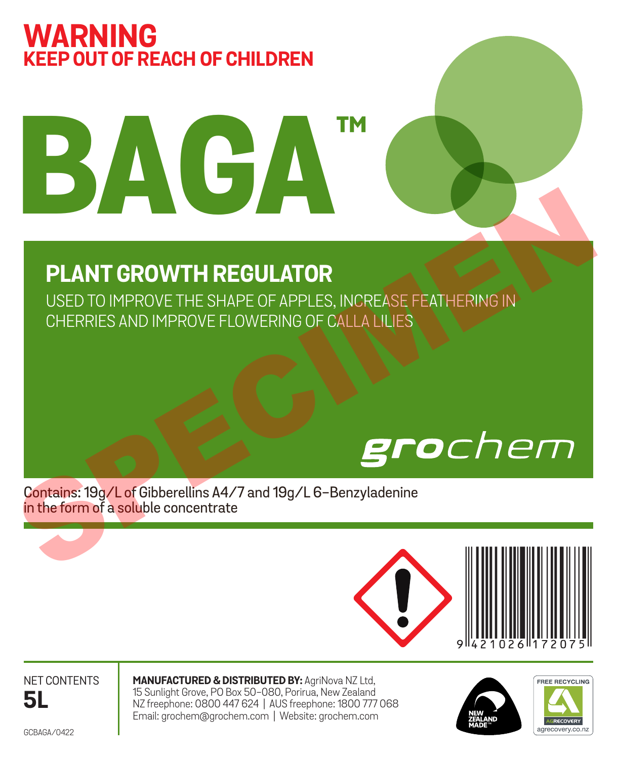# **WARNING KEEP OUT OF REACH OF CHILDREN**

# **BAGA™**

# **PLANT GROWTH REGULATOR**

USED TO IMPROVE THE SHAPE OF APPLES, INCREASE FEATHERING IN CHERRIES AND IMPROVE FLOWERING OF CALLA LILIES PLANT GROWTH REGULATOR<br>
USED TO IMPROVE THE SHAPE OF APPLES, INCREASE FEATHERING IN<br>
CHERRIES AND IMPROVE FLOWERING OF CALLA LILIES<br>
SAVE A CHERRIES AND IMPROVE FLOWERING OF CALLA LILIES<br>
SAVE A CHERRIES AND IMPROVE FLOWER

Contains: 19g/L of Gibberellins A4/7 and 19g/L 6-Benzyladenine in the form of a soluble concentrate



NET CONTENTS **5L**

**MANUFACTURED & DISTRIBUTED BY:** AgriNova NZ Ltd,<br>15 Sunlight Grove, PO Box 50–080, Porirua, New Zealand<br>NZ freephone: 0800 447 624 | AUS freephone: 1800 777 068 Email: grochem@grochem.com | Website: grochem.com





GCBAGA/0422